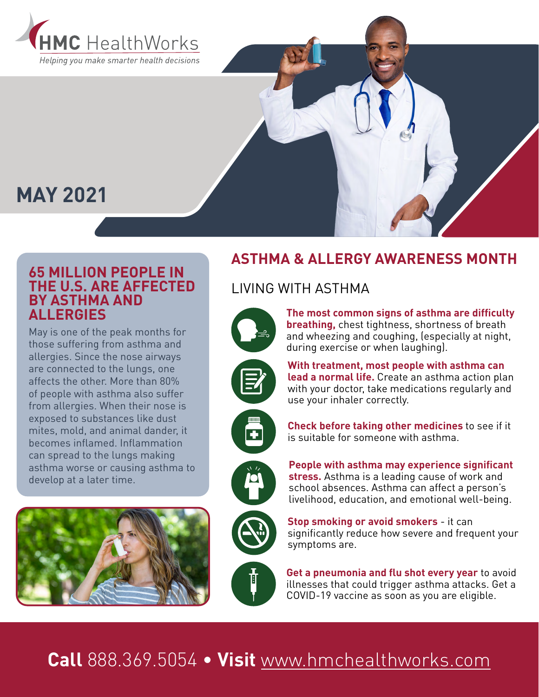

## **MAY 2021**

#### **65 MILLION PEOPLE IN THE U.S. ARE AFFECTED BY ASTHMA AND ALLERGIES**

May is one of the peak months for those suffering from asthma and allergies. Since the nose airways are connected to the lungs, one affects the other. More than 80% of people with asthma also suffer from allergies. When their nose is exposed to substances like dust mites, mold, and animal dander, it becomes inflamed. Inflammation can spread to the lungs making asthma worse or causing asthma to develop at a later time.



### **ASTHMA & ALLERGY AWARENESS MONTH**

#### LIVING WITH ASTHMA

**The most common signs of asthma are difficulty breathing,** chest tightness, shortness of breath and wheezing and coughing, (especially at night, during exercise or when laughing).

**With treatment, most people with asthma can** 





**lead a normal life.** Create an asthma action plan with your doctor, take medications regularly and use your inhaler correctly.

**Check before taking other medicines** to see if it is suitable for someone with asthma.

**People with asthma may experience significant stress.** Asthma is a leading cause of work and school absences. Asthma can affect a person's livelihood, education, and emotional well-being.



**Stop smoking or avoid smokers** - it can significantly reduce how severe and frequent your symptoms are.

**Get a pneumonia and flu shot every year** to avoid illnesses that could trigger asthma attacks. Get a COVID-19 vaccine as soon as you are eligible.

# **Call** 888.369.5054 • **Visit** [www.hmchealthworks.com](http://www.hmchealthworks.com)